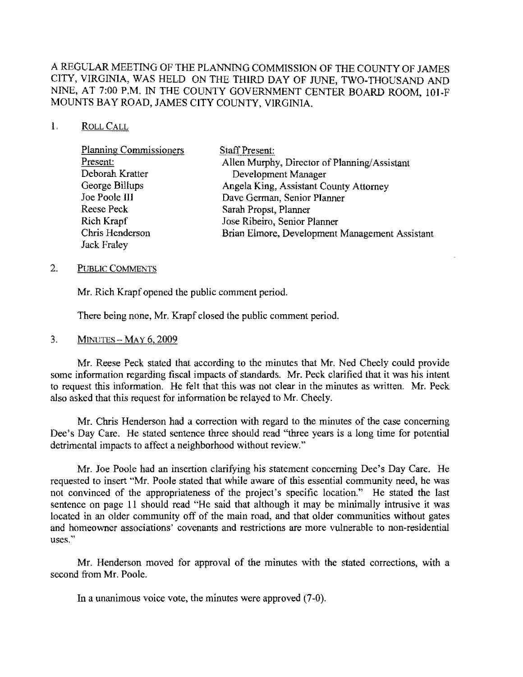# A REGULAR MEETING OF THE PLANNING COMMISSION OF THE COUNTY OF JAMES CITY, VIRGINIA, WAS HELD ON THE THIRD DAY OF JUNE, TWO-THOUSAND AND NINE, AT 7:00 P.M. IN THE COUNTY GOVERNMENT CENTER BOARD ROOM, 10J.F MOUNTS SAY ROAD, JAMES CITY COUNTY, VIRGINIA.

### 1. ROLLCALL

| <b>Planning Commissioners</b> | <b>Staff Present:</b>                          |
|-------------------------------|------------------------------------------------|
| Present:                      | Allen Murphy, Director of Planning/Assistant   |
| Deborah Kratter               | Development Manager                            |
| George Billups                | Angela King, Assistant County Attorney         |
| Joe Poole III                 | Dave German, Senior Planner                    |
| Reese Peck                    | Sarah Propst, Planner                          |
| Rich Krapf                    | Jose Ribeiro, Senior Planner                   |
| Chris Henderson               | Brian Elmore, Development Management Assistant |
| Jack Fraley                   |                                                |

### 2. PUBLlC COMMENTS

Mr. Rich Krapf opened the public comment period.

There being none, Mr. Krapf closed the public comment period.

### 3. MINUTES - MAY 6. 2009

Mr. Reese Peck stated that according to the minutes that Mr. Ned Cheely could provide some information regarding fiscal impacts of standards. Mr. Peck clarified that it was his intent to request this information. He felt that this was not clear in the minutes as written. Mr. Peck also asked that this request for information be relayed to Mr. Cheely.

Mr. Chris Henderson had a correction with regard to the minutes of the case concerning Dee's Day Care. He stated sentence three should read "three years is a long time for potential detrimental impacts to affeet a neighborhood without review."

Mr. Joe Poole had an insertion clarifying his statement concerning Dee's Day Care. He requested to insert "Mr. Poole stated that while aware of this essential community need, he was not convinced of the appropriateness of the project's specific location." He stated the last sentence on page II should read "He said that although it may be minimally intrusive it was located in an older community off of the main road, and that older communities without gates and homeowner associations' covenants and restrictions are more vulnerable to non-residential uses."

Mr. Henderson moved for approval of the minutes with the stated corrections, with a second from Mr. Poole.

In a unanimous voice vote, the minutes were approved (7·0).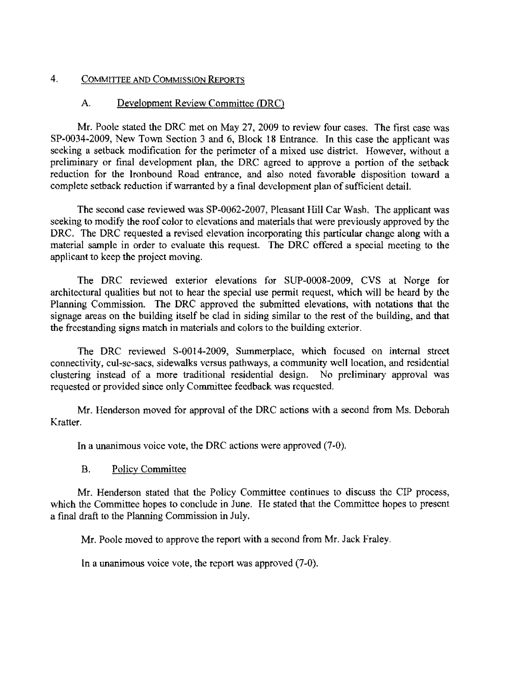## 4. COMMITTEE AND COMMISSION REpORTS

### A. Development Review Committee (DRC)

Mr. Poole stated the DRC met on May 27,2009 to review four cases. The first case was SP-0034-2009, New Town Section 3 and 6, Block 18 Entrance. In this case the applicant was seeking a setback modification for the perimeter of a mixed use district. However, without a preliminary or final development plan, the DRC agreed to approve a portion of the setback reduction for the Ironbound Road entrance, and also noted favorable disposition toward a complete setback reduction if warranted by a final development plan of sufficient detail.

The second case reviewed was SP-0062-2007, Pleasant Hill Car Wash. The applicant was seeking to modify the roof color to elevations and materials that were previously approved by the DRC. The DRC requested a revised elevation incorporating this particular change along with a material sample in order to evaluate this request. The DRC offered a special meeting to the applicant to keep the project moving.

The DRC reviewed exterior elevations for SUP-0008-2009, CVS at Norge for architectural qualities but not to hear the special use permit request, which will be heard by the Planning Commission. The DRC approved the submitted elevations, with notations that the signage areas on the building itself be clad in siding similar to the rest of the building, and that the freestanding signs match in materials and colors to the building exterior.

The DRC reviewed S-0014-2009, Summerplace, which focused on internal street connectivity, cul-se-sacs, sidewalks versus pathways, a community well location, and residential clustering instead of a more traditional residential design. No preliminary approval was requested or provided since only Committee feedback was requested.

Mr. Henderson moved for approval of the DRC actions with a second from Ms. Deborah Kratter.

In a unanimous voice vote, the DRC actions were approved (7-0).

### B. Policy Committec

Mr. Henderson stated that the Policy Committee continues to discuss the CIP process, which the Committee hopes to conclude in June. He stated that the Committee hopes to present a final draft to the Planning Commission in July.

Mr. Poole moved to approve the report with a second from Mr. Jack Fraley.

In a unanimous voice vote, the report was approved (7-0).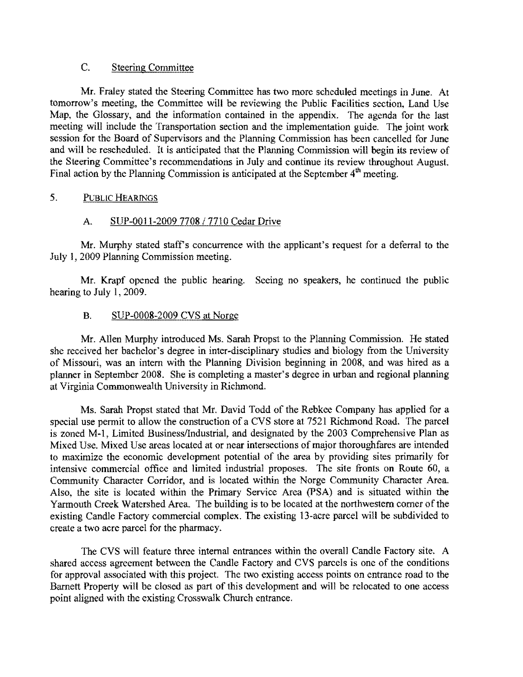## C. Steering Committee

Mr. Fraley stated the Steering Committee has two more scheduled meetings in June. At tomorrow's meeting, the Committee will be reviewing the Public Facilities section, Land Use Map, the Glossary, and the information contained in the appendix. The agenda for the last meeting will include the Transportation section and the implementation guide. The joint work session for the Board of Supervisors and the Planning Commission has been cancelled for June and will be rescheduled. It is anticipated that the Planning Commission will begin its review of the Steering Committee's recommendations in July and continue its review throughout August. Final action by the Planning Commission is anticipated at the September  $4<sup>th</sup>$  meeting.

## 5. PUBLIC HEARINGS

## A. SUP-0011-2009 7708/7710 Cedar Drive

Mr. Murphy stated staff's concurrence with the applicant's request for a deferral to the July 1, 2009 Planning Commission meeting.

Mr. Krapf opened the public hearing. Seeing no speakers, he continued the public hearing to July 1, 2009.

## B. SUP-0008-2009 CVS at Norge

Mr. Allen Murphy introduced Ms. Sarah Propst to the Planning Commission. He stated she received her bachelor's degree in inter-disciplinary studies and biology from the University of Missouri, was an intern with the Planning Division beginning in 2008, and was hired as a planner in September 2008. She is completing a master's degree in urban and regional planning at Virginia Commonwealth University in Richmond.

Ms. Sarah Propst stated that Mr. David Todd of the Rebkee Company has applied for a special use permit to allow the construction of a CVS store at 7521 Richmond Road. The parcel is zoned M-1, Limited Business/Industrial, and designated by the 2003 Comprehensive Plan as Mixed Use. Mixed Use areas located at or near intersections of major thoroughfares are intended to maximize the economic development potential of the area by providing sites primarily for intensive commercial office and limited industrial proposes. The site fronts on Route 60, a Community Character Corridor, and is located within the Norge Community Character Area. Also, the site is located within the Primary Service Area (PSA) and is situated within the Yarmouth Creek Watershed Area. The building is to be located at the northwestern comer of the existing Candle Factory commercial complex. The existing 13-acre parcel will be subdivided to create a two acre parcel for the pharmacy.

The CVS will feature three internal entrances within the overall Candle Factory site. A shared access agreement between the Candle Factory and CVS pareels is one of the conditions for approval associated with this project. The two existing access points on entrance road to the Barnett Property will be closed as part of this development and will be relocated to one access point aligned with the existing Crosswalk Church entrance.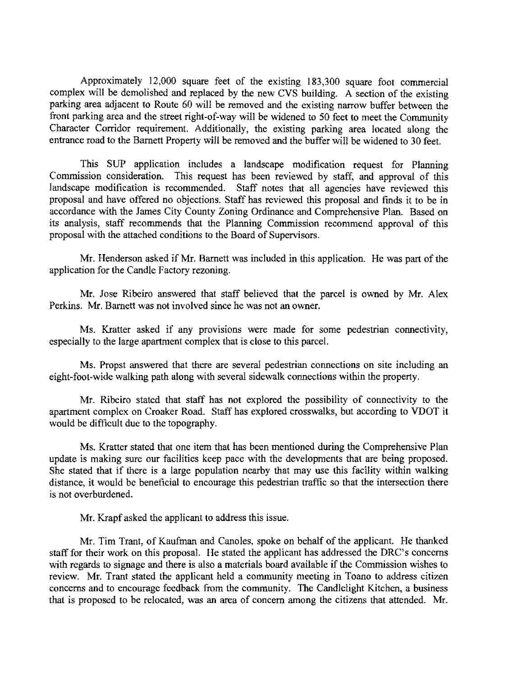Approximately 12,000 square feet of the existing 183,300 square foot commercial complex will be demolished and replaced by the new CVS building. A section of the existing parking area adjacent to Route 60 will be removed and the existing narrow buffer between the front parking area and the street right-of-way will be widened to 50 feet to meet the Community Character Corridor requirement. Additionally, the existing parking area located along the entrance road to the Barnett Property will be removed and the buffer will be widened to 30 feet.

This SUP application includes a landscape modification request for Planning Commission consideration. This request has been reviewed by staff, and approval of this landscape modification is recommended. Staff notes that all agencies have reviewed this proposal and have offered no objections. Staff has reviewed this proposal and finds it to be in accordance with the James City County Zoning Ordinance and Comprehensive Plan. Based on its analysis, staff recommends that the Planning Commission recommend approval of this proposal with the attaehed conditions to the Board of Supervisors.

Mr. Henderson asked if Mr. Bamett was included in this application. He was part of the application for the Candle Factory rezoning.

Mr. Jose Ribeiro answered that staff believed that the parcel is owned by Mr. Alex Perkins. Mr. Barnett was not involved since he was not an owner.

Ms. Kratter asked if any provisions were made for some pedestrian connectivity, especially to the large apartment complex that is close to this parcel.

Ms. Propst answered that there are several pedestrian connections on site including an eight-foot-wide walking path along with several sidewalk connections within the property.

Mr. Ribeiro stated that staff has not explored the possibility of connectivity to the apartment complex on Croaker Road. Staff has explored crosswalks, but according to VDOT it would be difficult due to the topography.

Ms. Kratter stated that one item that has been mentioned during the Comprehensive Plan update is making sure our faeilities keep pace with the developments that are being proposed. She stated that if there is a large population nearby that may use this facility within walking distance, it would be beneficial to encourage this pedestrian traffic so that the intersection there is not overburdened.

Mr. Krapf asked the applicant to address this issue.

Mr. Tim Trant, of Kaufman and Canoles, spoke on behalf of the applicant. He thanked staff for their work on this proposal. He stated the applicant has addressed the DRC's concerns with regards to signage and there is also a materials board available if the Commission wishes to review. Mr. Trant stated the applicant held a community meeting in Toano to address citizen concerns and to encourage feedback from the community. The Candlelight Kitchen, a business that is proposed to be relocated, was an area of concern among the citizens that attended. Mr.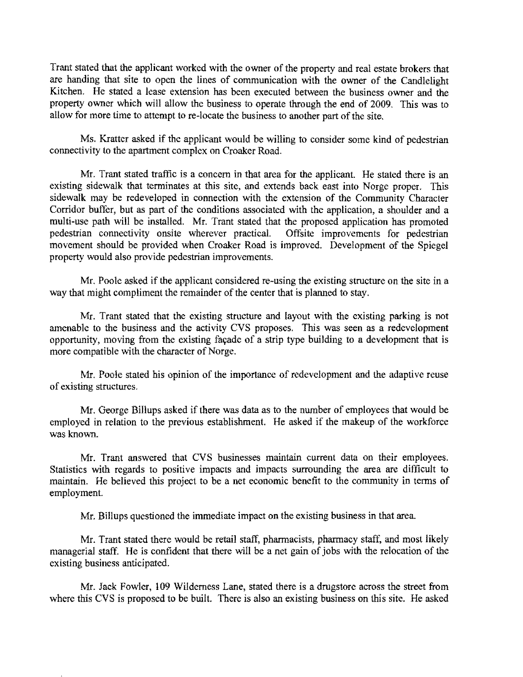Trant stated that the applicant worked with the owner of the property and real estate brokers that are handing that site to open the lines of communication with the owner of the Candlelight Kitchen. He stated a lease extension has been executed between the business owner and the property owner which will allow the business to operate through the end of 2009. This was to allow for more time to attempt to re-locate the business to another part of the site.

Ms. Kratter asked if the applicant would be willing to consider some kind of pedestrian connectivity to the apartment complex on Croaker Road.

Mr. Trant stated traffic is a concern in that area for the applicant. He stated there is an existing sidewalk that terminates at this site, and extends back east into Norge proper. This sidewalk may be redeveloped in connection with the extension of the Community Character Corridor buffer, but as part of the conditions associated with the application, a shoulder and a multi-use path will be installed. Mr. Trant stated that the proposed application has promoted pedestrian connectivity onsite wherever practical. Offsite improvements for pedestrian movement should be provided when Croaker Road is improved. Development of the Spiegel property would also provide pedestrian improvements.

Mr. Poole asked if the applicant considered re-using the existing structure on the site in a way that might compliment the remainder of the eenter that is planned to stay.

Mr. Trant stated that the existing structure and layout with the existing parking is not amenable to the business and the activity CVS proposes. This was seen as a redevelopment opportunity, moving from the existing facade of a strip type building to a development that is more compatible with the character of Norge.

Mr. Poole stated his opinion of the importance of redevelopment and the adaptive reuse of existing structures.

Mr. George Billups asked if there was data as to the number of employees that would be employed in relation to the previous establishment. He asked if the makeup of the workforce was known.

Mr. Trant answered that CVS businesses maintain current data on their employees. Statistics with regards to positive impacts and impacts surrounding the area are difficult to maintain. He believed this project to be a net economic benefit to the community in terms of employment.

Mr. Billups questioned the immediate impact on the existing business in that area.

Mr. Trant stated there would be retail staff, pharmacists, pharmacy staff, and most likely managerial staff. He is confident that there will be a net gain of jobs with the relocation of the existing business anticipated.

Mr. Jack Fowler, 109 Wilderness Lane, stated there is a drugstore across the street from where this CVS is proposed to be built. There is also an existing business on this site. He asked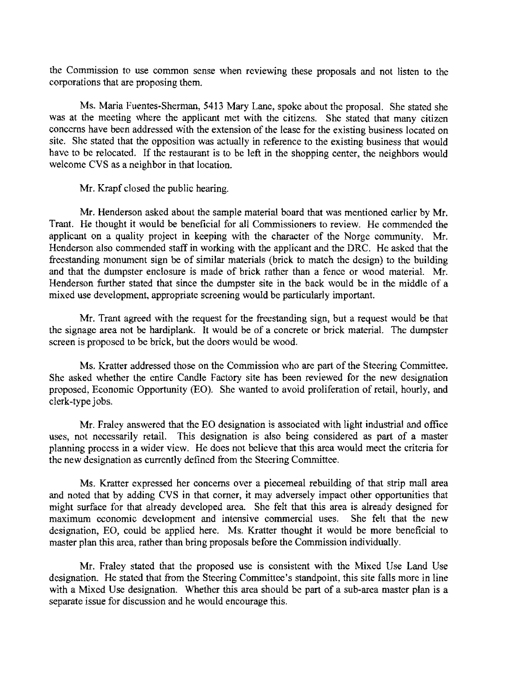the Commission to use common sense when reviewing these proposals and not listen to the corporations that are proposing them.

Ms. Maria Fuentes-Sherman, 5413 Mary Lane, spoke about the proposal. She stated she was at the meeting where the applicant met with the citizens. She stated that many citizen concerns have been addressed with the extension of the lease for the existing business located on site. She stated that the opposition was actually in reference to the existing business that would have to be relocated. If the restaurant is to be left in the shopping eenter, the neighbors would welcome CVS as a neighbor in that location.

Mr. Krapf closed the public hearing.

Mr. Henderson asked about the sample material board that was mentioned earlier by Mr. Trant. He thought it would be beneficial for all Commissioners to review. He commended the applieant on a quality project in keeping with the character of the Norge community. Mr. Henderson also commended staff in working with the applicant and the DRC. He asked that the freestanding monument sign be of similar materials (brick to match the design) to the building and that the dumpster enclosure is made of brick rather than a fence or wood material. Mr. Henderson further stated that since the dumpster site in the back would be in the middle of a mixed use development, appropriate screening would be particularly important.

Mr. Trant agreed with the request for the freestanding sign, but a request would be that the signage area not be hardiplank. It would be of a concrete or brick material. The dumpster screen is proposed to be brick, but the doors would be wood.

Ms. Kratter addressed those on the Commission who are part of the Steering Committee. She asked whether the entire Candle Factory site has been reviewed for the new designation proposed, Economic Opportunity (EO). She wanted to avoid proliferation of retail, hourly, and clerk-type jobs.

Mr. Fraley answered that the EO designation is associated with light industrial and office uses, not necessarily retail. This designation is also being considered as part of a master planning process in a wider view. He does not believe that this area would meet the criteria for the new designation as currently defined from the Steering Committee.

Ms. Kratter expressed her concerns over a piecemeal rebuilding of that strip mall area and noted that by adding CVS in that corner, it may adversely impact other opportunities that might surface for that already developed area. She felt that this area is already designed for maximum economic development and intensive commercial uses. She felt that the new designation, EO, could be applied here. Ms. Kratter thought it would be more beneficial to master plan this area, rather than bring proposals before the Commission individually.

Mr. Fraley stated that the proposed use is consistent with the Mixed Use Land Use designation. He stated that from the Steering Committee's standpoint, this site falls more in line with a Mixed Use designation. Whether this area should be part of a sub-area master plan is a separate issue for discussion and he would encourage this.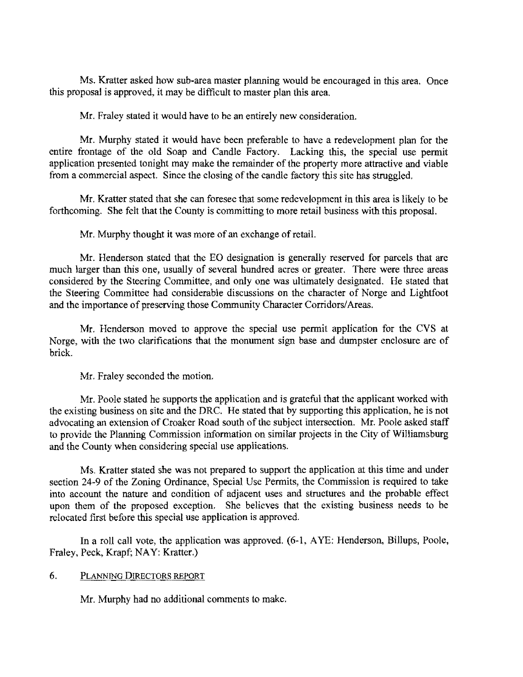Ms. Kratter asked how sub-area master planning would be encouraged in this area. Once this proposal is approved. it may be difficult to master plan this area.

Mr. Fraley stated it would have to be an entirely new consideration.

Mr. Murphy stated it would have been preferable to have a redevelopment plan for the entire frontage of the old Soap and Candle Factory. Lacking this, the special use permit application presented tonight may make the remainder of the property more attractive and viable from a commercial aspect. Since the closing of the candle factory this site has struggled.

Mr. Kratter stated that she can foresee that some redevelopment in this area is likely to be forthcoming. She felt that the County is committing to more retail business with this proposal.

Mr. Murphy thought it was more of an exchange of retail.

Mr. Henderson stated that the EO designation is generally reserved for parcels that are much larger than this one, usually of several hundred acres or greater. There were three areas considered by the Steering Committee, and only one was ultimately designated. He stated that the Steering Committee had considerable discussions on the character of Norge and Lightfoot and the importance of preserving those Community Character Corridors/Areas.

Mr. Henderson moved to approve the special use permit application for the CVS at Norge, with the two clarifications that the monument sign base and dumpster enclosure are of brick.

Mr. Fraley seconded the motion.

Mr. Poole stated he supports the application and is grateful that the applicant worked with the existing business on site and the DRC. He stated that by supporting this application, he is not advocating an extension of Croaker Road south of the subject intersection. Mr. Poole asked staff to provide the Planning Commission information on similar projects in the City of Williamsburg and the County when considering special use applications.

Ms. Kratter stated she was not prepared to support the application at this time and under section 24-9 of the Zoning Ordinance, Special Use Permits, the Commission is required to take into account the nature and condition of adjacent uses and structures and the probable effect upon them of the proposed exception. She believes that the existing business nceds to be relocated first before this special use application is approved.

In a roll call vote, the application was approved. (6-1, AYE: Henderson, Billups, Poole, Fraley, Peck, Krapf; NAY: Kratter.)

#### 6. PLANNING DIRECTORS REPORT

Mr. Murphy had no additional comments to make.